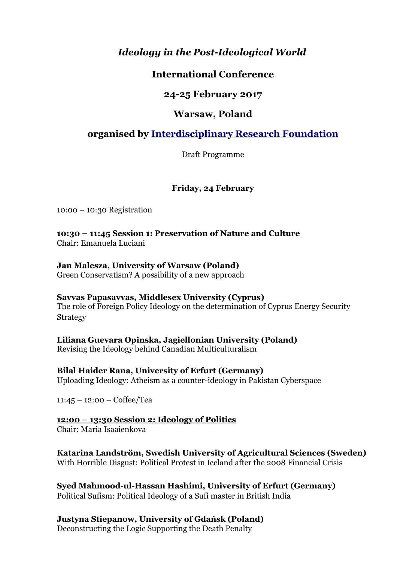# *Ideology in the Post-Ideological World*

# **International Conference**

# **24-25 February 2017**

## **Warsaw, Poland**

# **organised by [Interdisciplinary Research Foundation](http://www.irf-network.org/)**

Draft Programme

### **Friday, 24 February**

10:00 – 10:30 Registration

**10:30 – 11:45 Session 1: Preservation of Nature and Culture** Chair: Emanuela Luciani

#### **Jan Malesza, University of Warsaw (Poland)**

Green Conservatism? A possibility of a new approach

#### **Savvas Papasavvas, Middlesex University (Cyprus)**

The role of Foreign Policy Ideology on the determination of Cyprus Energy Security Strategy

**Liliana Guevara Opinska, Jagiellonian University (Poland)**

Revising the Ideology behind Canadian Multiculturalism

**Bilal Haider Rana, University of Erfurt (Germany)** Uploading Ideology: Atheism as a counter-ideology in Pakistan Cyberspace

11:45 – 12:00 – Coffee/Tea

### **12:00 – 13:30 Session 2: Ideology of Politics**

Chair: Maria Isaaienkova

# **Katarina Landström, Swedish University of Agricultural Sciences (Sweden)**

With Horrible Disgust: Political Protest in Iceland after the 2008 Financial Crisis

**Syed Mahmood-ul-Hassan Hashimi, University of Erfurt (Germany)**

Political Sufism: Political Ideology of a Sufi master in British India

### **Justyna Stiepanow, University of Gdańsk (Poland)**

Deconstructing the Logic Supporting the Death Penalty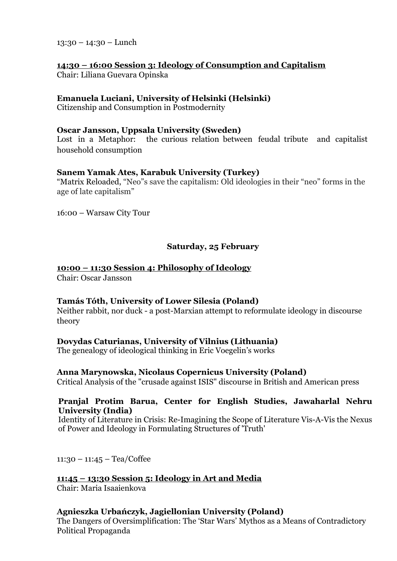13:30 – 14:30 – Lunch

# **14:30 – 16:00 Session 3: Ideology of Consumption and Capitalism**

Chair: Liliana Guevara Opinska

#### **Emanuela Luciani, University of Helsinki (Helsinki)**

Citizenship and Consumption in Postmodernity

#### **Oscar Jansson, Uppsala University (Sweden)**

Lost in a Metaphor: the curious relation between feudal tribute and capitalist household consumption

#### **Sanem Yamak Ates, Karabuk University (Turkey)**

"Matrix Reloaded, "Neo"s save the capitalism: Old ideologies in their "neo" forms in the age of late capitalism"

16:00 – Warsaw City Tour

#### **Saturday, 25 February**

#### **10:00 – 11:30 Session 4: Philosophy of Ideology**

Chair: Oscar Jansson

#### **Tamás Tóth, University of Lower Silesia (Poland)**

Neither rabbit, nor duck - a post-Marxian attempt to reformulate ideology in discourse theory

#### **Dovydas Caturianas, University of Vilnius (Lithuania)**

The genealogy of ideological thinking in Eric Voegelin's works

#### **Anna Marynowska, Nicolaus Copernicus University (Poland)**

Critical Analysis of the "crusade against ISIS" discourse in British and American press

#### **Pranjal Protim Barua, Center for English Studies, Jawaharlal Nehru University (India)**

Identity of Literature in Crisis: Re-Imagining the Scope of Literature Vis-A-Vis the Nexus of Power and Ideology in Formulating Structures of 'Truth'

 $11:30 - 11:45 - \text{Tea/Coffee}$ 

#### **11:45 – 13:30 Session 5: Ideology in Art and Media**

Chair: Maria Isaaienkova

#### **Agnieszka Urbańczyk, Jagiellonian University (Poland)**

The Dangers of Oversimplification: The 'Star Wars' Mythos as a Means of Contradictory Political Propaganda